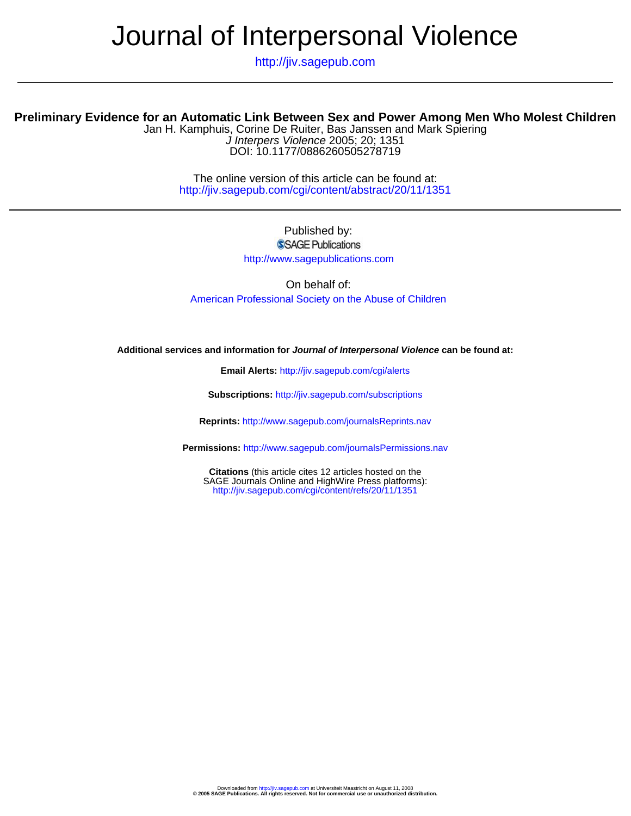# Journal of Interpersonal Violence

http://jiv.sagepub.com

## **Preliminary Evidence for an Automatic Link Between Sex and Power Among Men Who Molest Children**

J Interpers Violence 2005; 20; 1351 Jan H. Kamphuis, Corine De Ruiter, Bas Janssen and Mark Spiering

DOI: 10.1177/0886260505278719

http://jiv.sagepub.com/cgi/content/abstract/20/11/1351 The online version of this article can be found at:

> Published by: SSAGE Publications

http://www.sagepublications.com

On behalf of: [American Professional Society on the Abuse of Children](http://www.apsac.org)

**Additional services and information for Journal of Interpersonal Violence can be found at:**

**Email Alerts:** <http://jiv.sagepub.com/cgi/alerts>

**Subscriptions:** <http://jiv.sagepub.com/subscriptions>

**Reprints:** <http://www.sagepub.com/journalsReprints.nav>

**Permissions:** <http://www.sagepub.com/journalsPermissions.nav>

<http://jiv.sagepub.com/cgi/content/refs/20/11/1351> SAGE Journals Online and HighWire Press platforms): **Citations** (this article cites 12 articles hosted on the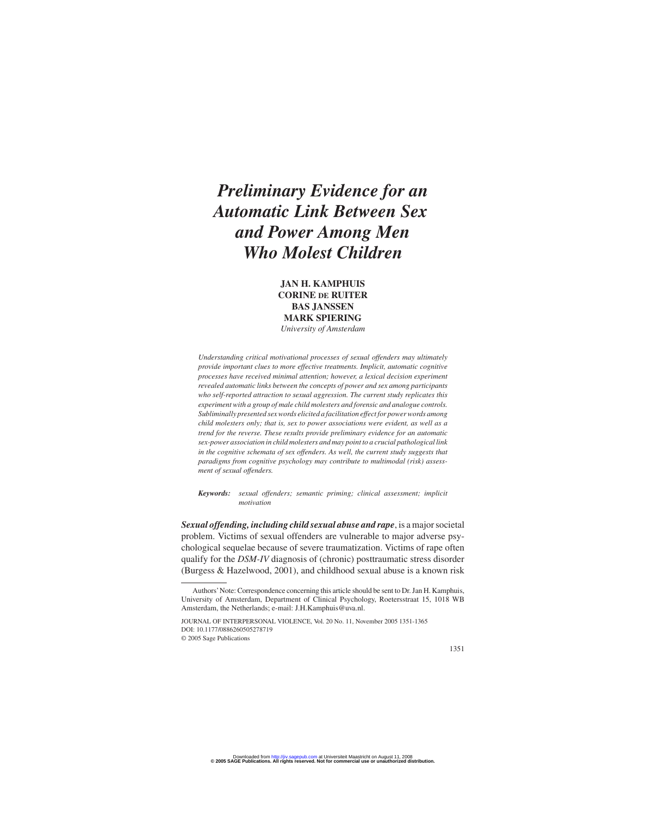# *Preliminary Evidence for an Automatic Link Between Sex and Power Among Men Who Molest Children*

### **JAN H. KAMPHUIS CORINE DE RUITER BAS JANSSEN MARK SPIERING**

*University of Amsterdam*

*Understanding critical motivational processes of sexual offenders may ultimately provide important clues to more effective treatments. Implicit, automatic cognitive processes have received minimal attention; however, a lexical decision experiment revealed automatic links between the concepts of power and sex among participants who self-reported attraction to sexual aggression. The current study replicates this experiment with a group of male child molesters and forensic and analogue controls. Subliminally presented sex words elicited a facilitation effect for power words among child molesters only; that is, sex to power associations were evident, as well as a trend for the reverse. These results provide preliminary evidence for an automatic sex-power association in child molesters and may point to a crucial pathological link in the cognitive schemata of sex offenders. As well, the current study suggests that paradigms from cognitive psychology may contribute to multimodal (risk) assessment of sexual offenders.*

*Keywords: sexual offenders; semantic priming; clinical assessment; implicit motivation*

*Sexual offending, including child sexual abuse and rape*, is a major societal problem. Victims of sexual offenders are vulnerable to major adverse psychological sequelae because of severe traumatization. Victims of rape often qualify for the *DSM-IV* diagnosis of (chronic) posttraumatic stress disorder (Burgess & Hazelwood, 2001), and childhood sexual abuse is a known risk

JOURNAL OF INTERPERSONAL VIOLENCE, Vol. 20 No. 11, November 2005 1351-1365 DOI: 10.1177/0886260505278719 © 2005 Sage Publications

Authors'Note: Correspondence concerning this article should be sent to Dr. Jan H. Kamphuis, University of Amsterdam, Department of Clinical Psychology, Roetersstraat 15, 1018 WB Amsterdam, the Netherlands; e-mail: J.H.Kamphuis@uva.nl.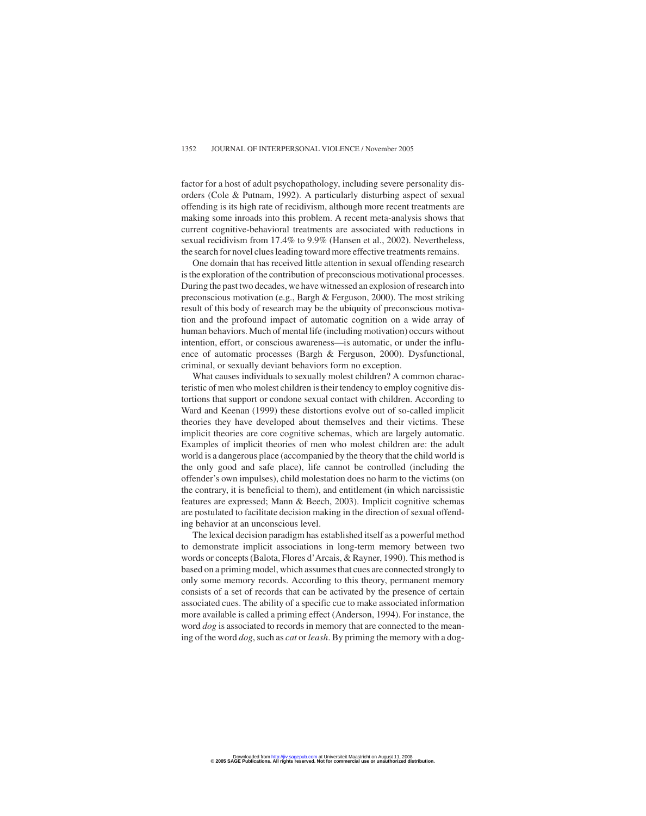factor for a host of adult psychopathology, including severe personality disorders (Cole & Putnam, 1992). A particularly disturbing aspect of sexual offending is its high rate of recidivism, although more recent treatments are making some inroads into this problem. A recent meta-analysis shows that current cognitive-behavioral treatments are associated with reductions in sexual recidivism from 17.4% to 9.9% (Hansen et al., 2002). Nevertheless, the search for novel clues leading toward more effective treatments remains.

One domain that has received little attention in sexual offending research is the exploration of the contribution of preconscious motivational processes. During the past two decades, we have witnessed an explosion of research into preconscious motivation (e.g., Bargh & Ferguson, 2000). The most striking result of this body of research may be the ubiquity of preconscious motivation and the profound impact of automatic cognition on a wide array of human behaviors. Much of mental life (including motivation) occurs without intention, effort, or conscious awareness—is automatic, or under the influence of automatic processes (Bargh & Ferguson, 2000). Dysfunctional, criminal, or sexually deviant behaviors form no exception.

What causes individuals to sexually molest children? A common characteristic of men who molest children is their tendency to employ cognitive distortions that support or condone sexual contact with children. According to Ward and Keenan (1999) these distortions evolve out of so-called implicit theories they have developed about themselves and their victims. These implicit theories are core cognitive schemas, which are largely automatic. Examples of implicit theories of men who molest children are: the adult world is a dangerous place (accompanied by the theory that the child world is the only good and safe place), life cannot be controlled (including the offender's own impulses), child molestation does no harm to the victims (on the contrary, it is beneficial to them), and entitlement (in which narcissistic features are expressed; Mann & Beech, 2003). Implicit cognitive schemas are postulated to facilitate decision making in the direction of sexual offending behavior at an unconscious level.

The lexical decision paradigm has established itself as a powerful method to demonstrate implicit associations in long-term memory between two words or concepts (Balota, Flores d'Arcais, & Rayner, 1990). This method is based on a priming model, which assumes that cues are connected strongly to only some memory records. According to this theory, permanent memory consists of a set of records that can be activated by the presence of certain associated cues. The ability of a specific cue to make associated information more available is called a priming effect (Anderson, 1994). For instance, the word *dog* is associated to records in memory that are connected to the meaning of the word *dog*, such as *cat* or *leash*. By priming the memory with a dog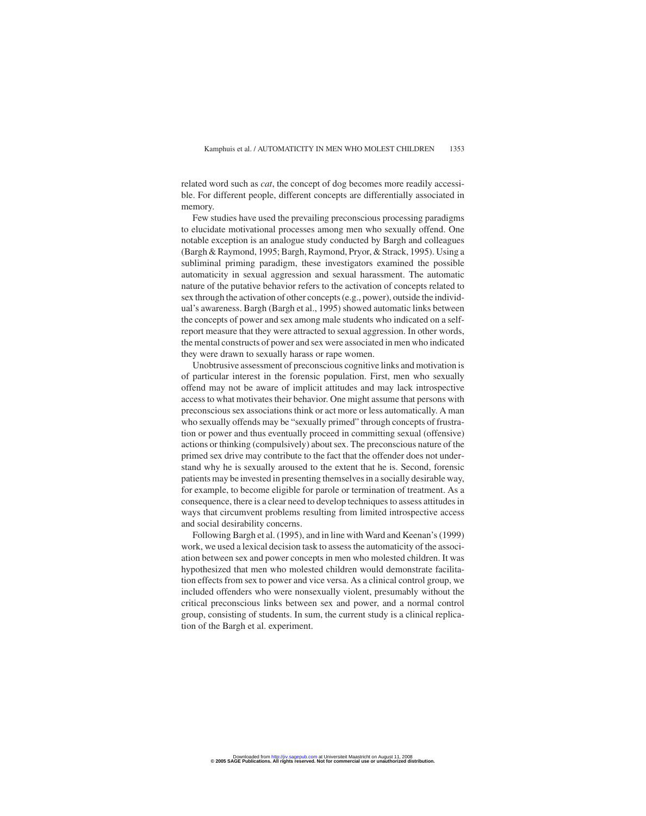related word such as *cat*, the concept of dog becomes more readily accessible. For different people, different concepts are differentially associated in memory.

Few studies have used the prevailing preconscious processing paradigms to elucidate motivational processes among men who sexually offend. One notable exception is an analogue study conducted by Bargh and colleagues (Bargh & Raymond, 1995; Bargh, Raymond, Pryor, & Strack, 1995). Using a subliminal priming paradigm, these investigators examined the possible automaticity in sexual aggression and sexual harassment. The automatic nature of the putative behavior refers to the activation of concepts related to sex through the activation of other concepts (e.g., power), outside the individual's awareness. Bargh (Bargh et al., 1995) showed automatic links between the concepts of power and sex among male students who indicated on a selfreport measure that they were attracted to sexual aggression. In other words, the mental constructs of power and sex were associated in men who indicated they were drawn to sexually harass or rape women.

Unobtrusive assessment of preconscious cognitive links and motivation is of particular interest in the forensic population. First, men who sexually offend may not be aware of implicit attitudes and may lack introspective access to what motivates their behavior. One might assume that persons with preconscious sex associations think or act more or less automatically. A man who sexually offends may be "sexually primed" through concepts of frustration or power and thus eventually proceed in committing sexual (offensive) actions or thinking (compulsively) about sex. The preconscious nature of the primed sex drive may contribute to the fact that the offender does not understand why he is sexually aroused to the extent that he is. Second, forensic patients may be invested in presenting themselves in a socially desirable way, for example, to become eligible for parole or termination of treatment. As a consequence, there is a clear need to develop techniques to assess attitudes in ways that circumvent problems resulting from limited introspective access and social desirability concerns.

Following Bargh et al. (1995), and in line with Ward and Keenan's (1999) work, we used a lexical decision task to assess the automaticity of the association between sex and power concepts in men who molested children. It was hypothesized that men who molested children would demonstrate facilitation effects from sex to power and vice versa. As a clinical control group, we included offenders who were nonsexually violent, presumably without the critical preconscious links between sex and power, and a normal control group, consisting of students. In sum, the current study is a clinical replication of the Bargh et al. experiment.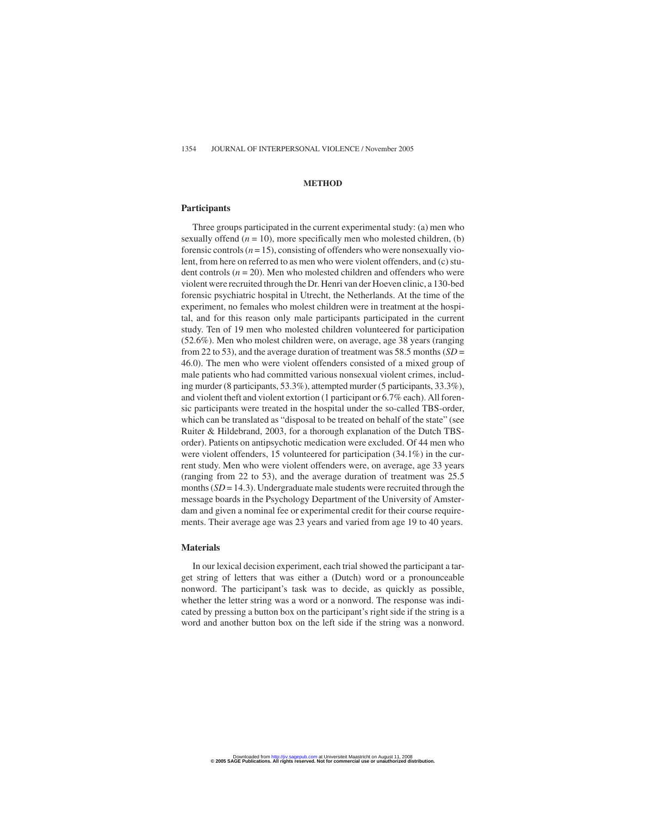#### **METHOD**

#### **Participants**

Three groups participated in the current experimental study: (a) men who sexually offend  $(n = 10)$ , more specifically men who molested children, (b) forensic controls  $(n=15)$ , consisting of offenders who were nonsexually violent, from here on referred to as men who were violent offenders, and (c) student controls  $(n = 20)$ . Men who molested children and offenders who were violent were recruited through the Dr. Henri van der Hoeven clinic, a 130-bed forensic psychiatric hospital in Utrecht, the Netherlands. At the time of the experiment, no females who molest children were in treatment at the hospital, and for this reason only male participants participated in the current study. Ten of 19 men who molested children volunteered for participation (52.6%). Men who molest children were, on average, age 38 years (ranging from 22 to 53), and the average duration of treatment was 58.5 months (*SD* = 46.0). The men who were violent offenders consisted of a mixed group of male patients who had committed various nonsexual violent crimes, including murder (8 participants, 53.3%), attempted murder (5 participants, 33.3%), and violent theft and violent extortion (1 participant or 6.7% each). All forensic participants were treated in the hospital under the so-called TBS-order, which can be translated as "disposal to be treated on behalf of the state" (see Ruiter & Hildebrand, 2003, for a thorough explanation of the Dutch TBSorder). Patients on antipsychotic medication were excluded. Of 44 men who were violent offenders, 15 volunteered for participation (34.1%) in the current study. Men who were violent offenders were, on average, age 33 years (ranging from 22 to 53), and the average duration of treatment was 25.5 months  $(SD = 14.3)$ . Undergraduate male students were recruited through the message boards in the Psychology Department of the University of Amsterdam and given a nominal fee or experimental credit for their course requirements. Their average age was 23 years and varied from age 19 to 40 years.

#### **Materials**

In our lexical decision experiment, each trial showed the participant a target string of letters that was either a (Dutch) word or a pronounceable nonword. The participant's task was to decide, as quickly as possible, whether the letter string was a word or a nonword. The response was indicated by pressing a button box on the participant's right side if the string is a word and another button box on the left side if the string was a nonword.

**© 2005 SAGE Publications. All rights reserved. Not for commercial use or unauthorized distribution.** Downloaded from<http://jiv.sagepub.com>at Universiteit Maastricht on August 11, 2008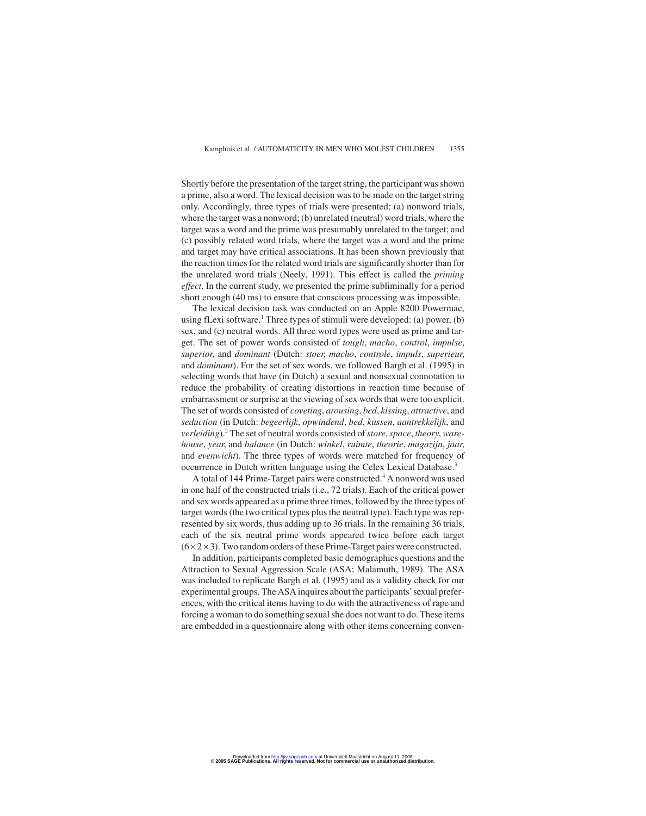Shortly before the presentation of the target string, the participant was shown a prime, also a word. The lexical decision was to be made on the target string only. Accordingly, three types of trials were presented: (a) nonword trials, where the target was a nonword; (b) unrelated (neutral) word trials, where the target was a word and the prime was presumably unrelated to the target; and (c) possibly related word trials, where the target was a word and the prime and target may have critical associations. It has been shown previously that the reaction times for the related word trials are significantly shorter than for the unrelated word trials (Neely, 1991). This effect is called the *priming effect*. In the current study, we presented the prime subliminally for a period short enough (40 ms) to ensure that conscious processing was impossible.

The lexical decision task was conducted on an Apple 8200 Powermac, using fLexi software.<sup>1</sup> Three types of stimuli were developed: (a) power, (b) sex, and (c) neutral words. All three word types were used as prime and target. The set of power words consisted of *tough*, *macho*, *control*, *impulse*, *superior*, and *dominant* (Dutch: *stoer*, *macho*, *controle*, *impuls*, *superieur*, and *dominant*). For the set of sex words, we followed Bargh et al. (1995) in selecting words that have (in Dutch) a sexual and nonsexual connotation to reduce the probability of creating distortions in reaction time because of embarrassment or surprise at the viewing of sex words that were too explicit. The set of words consisted of *coveting*, *arousing*, *bed*, *kissing*, *attractive*, and *seduction* (in Dutch: *begeerlijk*, *opwindend*, *bed*, *kussen*, *aantrekkelijk*, and *verleiding*).2 The set of neutral words consisted of*store*,*space*, *theory*, *warehouse*, *year*, and *balance* (in Dutch: *winkel*, *ruimte*, *theorie*, *magazijn*, *jaar*, and *evenwicht*). The three types of words were matched for frequency of occurrence in Dutch written language using the Celex Lexical Database.<sup>3</sup>

A total of 144 Prime-Target pairs were constructed.<sup>4</sup> A nonword was used in one half of the constructed trials (i.e., 72 trials). Each of the critical power and sex words appeared as a prime three times, followed by the three types of target words (the two critical types plus the neutral type). Each type was represented by six words, thus adding up to 36 trials. In the remaining 36 trials, each of the six neutral prime words appeared twice before each target  $(6 \times 2 \times 3)$ . Two random orders of these Prime-Target pairs were constructed.

In addition, participants completed basic demographics questions and the Attraction to Sexual Aggression Scale (ASA; Malamuth, 1989). The ASA was included to replicate Bargh et al. (1995) and as a validity check for our experimental groups. The ASA inquires about the participants'sexual preferences, with the critical items having to do with the attractiveness of rape and forcing a woman to do something sexual she does not want to do. These items are embedded in a questionnaire along with other items concerning conven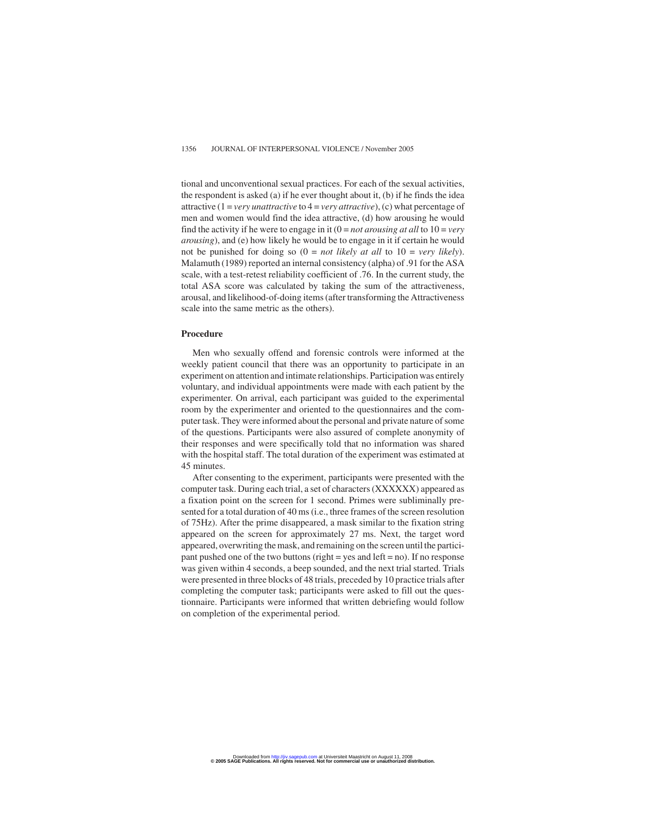tional and unconventional sexual practices. For each of the sexual activities, the respondent is asked (a) if he ever thought about it, (b) if he finds the idea attractive (1 = *very unattractive* to 4 = *very attractive*), (c) what percentage of men and women would find the idea attractive, (d) how arousing he would find the activity if he were to engage in it  $(0 = not \, arousing \, at \, all \, to \, 10 = \, very \,$ *arousing*), and (e) how likely he would be to engage in it if certain he would not be punished for doing so (0 = *not likely at all* to 10 = *very likely*). Malamuth (1989) reported an internal consistency (alpha) of .91 for the ASA scale, with a test-retest reliability coefficient of .76. In the current study, the total ASA score was calculated by taking the sum of the attractiveness, arousal, and likelihood-of-doing items (after transforming the Attractiveness scale into the same metric as the others).

#### **Procedure**

Men who sexually offend and forensic controls were informed at the weekly patient council that there was an opportunity to participate in an experiment on attention and intimate relationships. Participation was entirely voluntary, and individual appointments were made with each patient by the experimenter. On arrival, each participant was guided to the experimental room by the experimenter and oriented to the questionnaires and the computer task. They were informed about the personal and private nature of some of the questions. Participants were also assured of complete anonymity of their responses and were specifically told that no information was shared with the hospital staff. The total duration of the experiment was estimated at 45 minutes.

After consenting to the experiment, participants were presented with the computer task. During each trial, a set of characters (XXXXXX) appeared as a fixation point on the screen for 1 second. Primes were subliminally presented for a total duration of 40 ms (i.e., three frames of the screen resolution of 75Hz). After the prime disappeared, a mask similar to the fixation string appeared on the screen for approximately 27 ms. Next, the target word appeared, overwriting the mask, and remaining on the screen until the participant pushed one of the two buttons (right = yes and left = no). If no response was given within 4 seconds, a beep sounded, and the next trial started. Trials were presented in three blocks of 48 trials, preceded by 10 practice trials after completing the computer task; participants were asked to fill out the questionnaire. Participants were informed that written debriefing would follow on completion of the experimental period.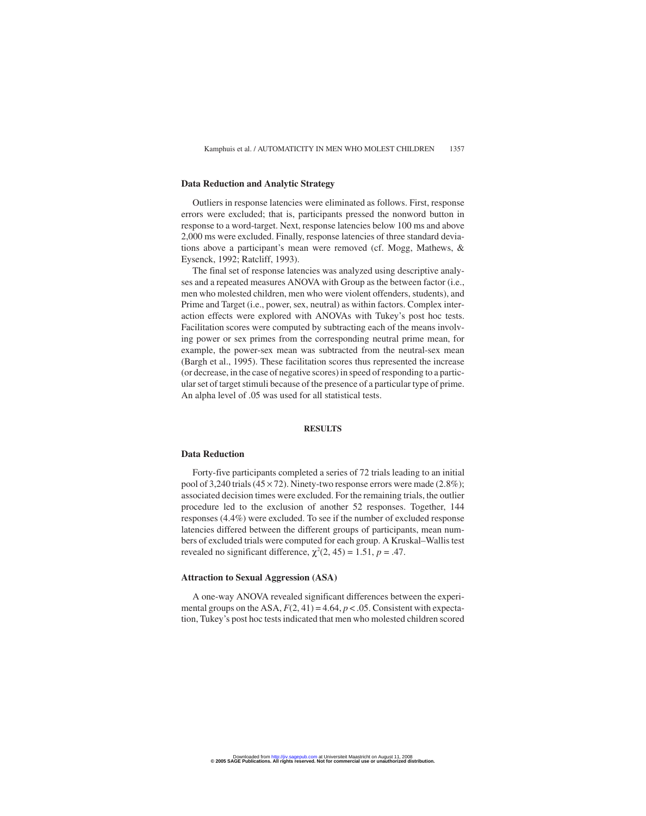#### **Data Reduction and Analytic Strategy**

Outliers in response latencies were eliminated as follows. First, response errors were excluded; that is, participants pressed the nonword button in response to a word-target. Next, response latencies below 100 ms and above 2,000 ms were excluded. Finally, response latencies of three standard deviations above a participant's mean were removed (cf. Mogg, Mathews, & Eysenck, 1992; Ratcliff, 1993).

The final set of response latencies was analyzed using descriptive analyses and a repeated measures ANOVA with Group as the between factor (i.e., men who molested children, men who were violent offenders, students), and Prime and Target (i.e., power, sex, neutral) as within factors. Complex interaction effects were explored with ANOVAs with Tukey's post hoc tests. Facilitation scores were computed by subtracting each of the means involving power or sex primes from the corresponding neutral prime mean, for example, the power-sex mean was subtracted from the neutral-sex mean (Bargh et al., 1995). These facilitation scores thus represented the increase (or decrease, in the case of negative scores) in speed of responding to a particular set of target stimuli because of the presence of a particular type of prime. An alpha level of .05 was used for all statistical tests.

#### **RESULTS**

#### **Data Reduction**

Forty-five participants completed a series of 72 trials leading to an initial pool of 3,240 trials ( $45 \times 72$ ). Ninety-two response errors were made (2.8%); associated decision times were excluded. For the remaining trials, the outlier procedure led to the exclusion of another 52 responses. Together, 144 responses (4.4%) were excluded. To see if the number of excluded response latencies differed between the different groups of participants, mean numbers of excluded trials were computed for each group. A Kruskal–Wallis test revealed no significant difference,  $\chi^2(2, 45) = 1.51$ ,  $p = .47$ .

#### **Attraction to Sexual Aggression (ASA)**

A one-way ANOVA revealed significant differences between the experimental groups on the ASA,  $F(2, 41) = 4.64$ ,  $p < .05$ . Consistent with expectation, Tukey's post hoc tests indicated that men who molested children scored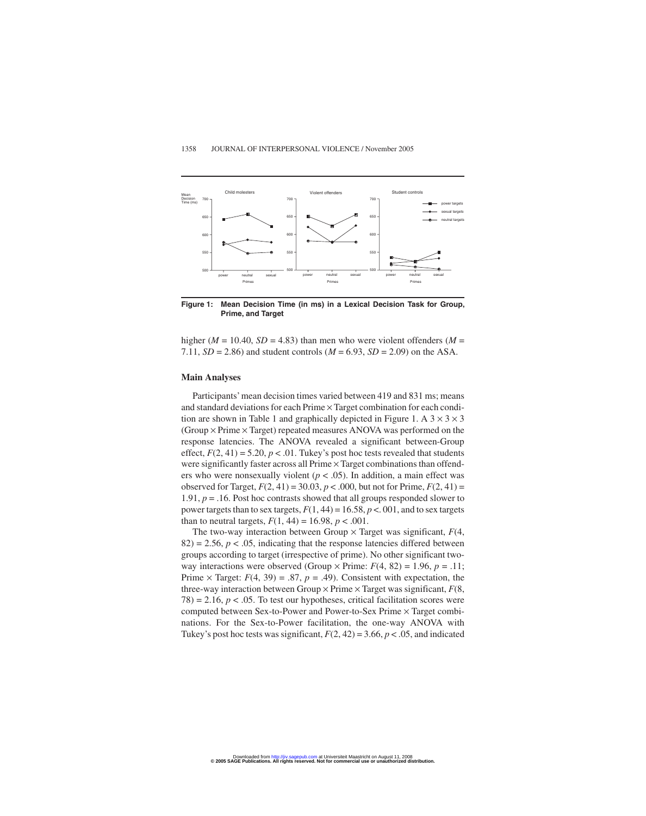

**Figure 1: Mean Decision Time (in ms) in a Lexical Decision Task for Group, Prime, and Target**

higher ( $M = 10.40$ ,  $SD = 4.83$ ) than men who were violent offenders ( $M =$ 7.11,  $SD = 2.86$ ) and student controls ( $M = 6.93$ ,  $SD = 2.09$ ) on the ASA.

#### **Main Analyses**

Participants'mean decision times varied between 419 and 831 ms; means and standard deviations for each Prime × Target combination for each condition are shown in Table 1 and graphically depicted in Figure 1. A  $3 \times 3 \times 3$ (Group  $\times$  Prime  $\times$  Target) repeated measures ANOVA was performed on the response latencies. The ANOVA revealed a significant between-Group effect,  $F(2, 41) = 5.20$ ,  $p < .01$ . Tukey's post hoc tests revealed that students were significantly faster across all Prime × Target combinations than offenders who were nonsexually violent ( $p < .05$ ). In addition, a main effect was observed for Target,  $F(2, 41) = 30.03$ ,  $p < .000$ , but not for Prime,  $F(2, 41) =$ 1.91,  $p = 0.16$ . Post hoc contrasts showed that all groups responded slower to power targets than to sex targets,  $F(1, 44) = 16.58$ ,  $p < .001$ , and to sex targets than to neutral targets,  $F(1, 44) = 16.98$ ,  $p < .001$ .

The two-way interaction between Group  $\times$  Target was significant,  $F(4, 4)$  $82$ ) = 2.56,  $p < .05$ , indicating that the response latencies differed between groups according to target (irrespective of prime). No other significant twoway interactions were observed (Group  $\times$  Prime:  $F(4, 82) = 1.96$ ,  $p = .11$ ; Prime  $\times$  Target:  $F(4, 39) = .87$ ,  $p = .49$ ). Consistent with expectation, the three-way interaction between Group  $\times$  Prime  $\times$  Target was significant,  $F(8)$ ,  $78$ ) = 2.16,  $p < .05$ . To test our hypotheses, critical facilitation scores were computed between Sex-to-Power and Power-to-Sex Prime × Target combinations. For the Sex-to-Power facilitation, the one-way ANOVA with Tukey's post hoc tests was significant,  $F(2, 42) = 3.66$ ,  $p < .05$ , and indicated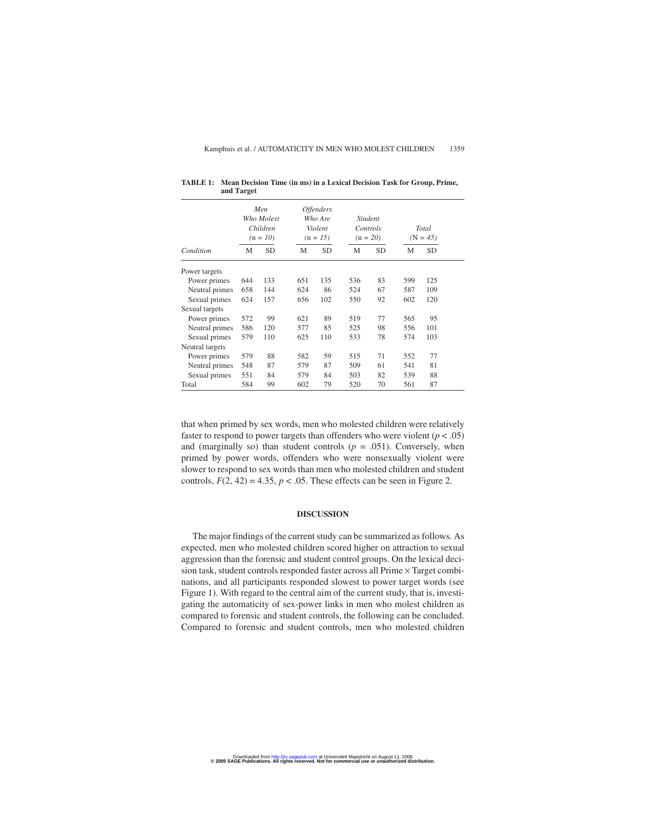| Condition       | Men<br>Who Molest<br>Children<br>$(n = 10)$ |           | <i><b>Offenders</b></i><br>Who Are<br>Violent<br>$(n = 15)$ |           | <b>Student</b><br>Controls<br>$(n = 20)$ |           | Total<br>$(N = 45)$ |           |
|-----------------|---------------------------------------------|-----------|-------------------------------------------------------------|-----------|------------------------------------------|-----------|---------------------|-----------|
|                 | M                                           | <b>SD</b> | M                                                           | <b>SD</b> | М                                        | <b>SD</b> | M                   | <b>SD</b> |
| Power targets   |                                             |           |                                                             |           |                                          |           |                     |           |
| Power primes    | 644                                         | 133       | 651                                                         | 135       | 536                                      | 83        | 599                 | 125       |
| Neutral primes  | 658                                         | 144       | 624                                                         | 86        | 524                                      | 67        | 587                 | 109       |
| Sexual primes   | 624                                         | 157       | 656                                                         | 102       | 550                                      | 92        | 602                 | 120       |
| Sexual targets  |                                             |           |                                                             |           |                                          |           |                     |           |
| Power primes    | 572                                         | 99        | 621                                                         | 89        | 519                                      | 77        | 565                 | 95        |
| Neutral primes  | 586                                         | 120       | 577                                                         | 85        | 525                                      | 98        | 556                 | 101       |
| Sexual primes   | 579                                         | 110       | 625                                                         | 110       | 533                                      | 78        | 574                 | 103       |
| Neutral targets |                                             |           |                                                             |           |                                          |           |                     |           |
| Power primes    | 579                                         | 88        | 582                                                         | 59        | 515                                      | 71        | 552                 | 77        |
| Neutral primes  | 548                                         | 87        | 579                                                         | 87        | 509                                      | 61        | 541                 | 81        |
| Sexual primes   | 551                                         | 84        | 579                                                         | 84        | 503                                      | 82        | 539                 | 88        |
| Total           | 584                                         | 99        | 602                                                         | 79        | 520                                      | 70        | 561                 | 87        |

**TABLE 1: Mean Decision Time (in ms) in a Lexical Decision Task for Group, Prime, and Target**

that when primed by sex words, men who molested children were relatively faster to respond to power targets than offenders who were violent  $(p < .05)$ and (marginally so) than student controls  $(p = .051)$ . Conversely, when primed by power words, offenders who were nonsexually violent were slower to respond to sex words than men who molested children and student controls,  $F(2, 42) = 4.35$ ,  $p < .05$ . These effects can be seen in Figure 2.

#### **DISCUSSION**

The major findings of the current study can be summarized as follows. As expected, men who molested children scored higher on attraction to sexual aggression than the forensic and student control groups. On the lexical decision task, student controls responded faster across all Prime × Target combinations, and all participants responded slowest to power target words (see Figure 1). With regard to the central aim of the current study, that is, investigating the automaticity of sex-power links in men who molest children as compared to forensic and student controls, the following can be concluded. Compared to forensic and student controls, men who molested children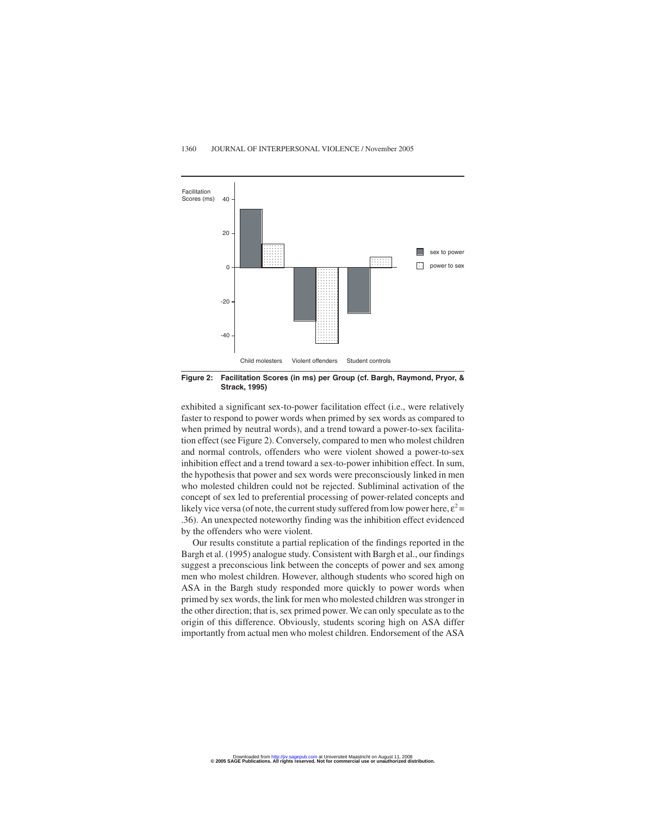

**Figure 2: Facilitation Scores (in ms) per Group (cf. Bargh, Raymond, Pryor, & Strack, 1995)**

exhibited a significant sex-to-power facilitation effect (i.e., were relatively faster to respond to power words when primed by sex words as compared to when primed by neutral words), and a trend toward a power-to-sex facilitation effect (see Figure 2). Conversely, compared to men who molest children and normal controls, offenders who were violent showed a power-to-sex inhibition effect and a trend toward a sex-to-power inhibition effect. In sum, the hypothesis that power and sex words were preconsciously linked in men who molested children could not be rejected. Subliminal activation of the concept of sex led to preferential processing of power-related concepts and likely vice versa (of note, the current study suffered from low power here,  $\varepsilon^2$  = .36). An unexpected noteworthy finding was the inhibition effect evidenced by the offenders who were violent.

Our results constitute a partial replication of the findings reported in the Bargh et al. (1995) analogue study. Consistent with Bargh et al., our findings suggest a preconscious link between the concepts of power and sex among men who molest children. However, although students who scored high on ASA in the Bargh study responded more quickly to power words when primed by sex words, the link for men who molested children was stronger in the other direction; that is, sex primed power. We can only speculate as to the origin of this difference. Obviously, students scoring high on ASA differ importantly from actual men who molest children. Endorsement of the ASA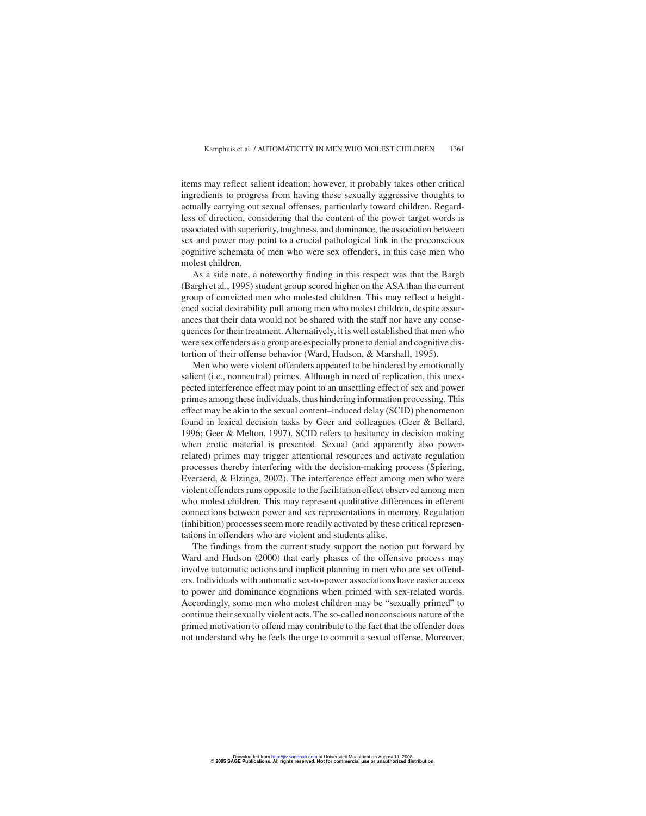items may reflect salient ideation; however, it probably takes other critical ingredients to progress from having these sexually aggressive thoughts to actually carrying out sexual offenses, particularly toward children. Regardless of direction, considering that the content of the power target words is associated with superiority, toughness, and dominance, the association between sex and power may point to a crucial pathological link in the preconscious cognitive schemata of men who were sex offenders, in this case men who molest children.

As a side note, a noteworthy finding in this respect was that the Bargh (Bargh et al., 1995) student group scored higher on the ASA than the current group of convicted men who molested children. This may reflect a heightened social desirability pull among men who molest children, despite assurances that their data would not be shared with the staff nor have any consequences for their treatment. Alternatively, it is well established that men who were sex offenders as a group are especially prone to denial and cognitive distortion of their offense behavior (Ward, Hudson, & Marshall, 1995).

Men who were violent offenders appeared to be hindered by emotionally salient (i.e., nonneutral) primes. Although in need of replication, this unexpected interference effect may point to an unsettling effect of sex and power primes among these individuals, thus hindering information processing. This effect may be akin to the sexual content–induced delay (SCID) phenomenon found in lexical decision tasks by Geer and colleagues (Geer & Bellard, 1996; Geer & Melton, 1997). SCID refers to hesitancy in decision making when erotic material is presented. Sexual (and apparently also powerrelated) primes may trigger attentional resources and activate regulation processes thereby interfering with the decision-making process (Spiering, Everaerd, & Elzinga, 2002). The interference effect among men who were violent offenders runs opposite to the facilitation effect observed among men who molest children. This may represent qualitative differences in efferent connections between power and sex representations in memory. Regulation (inhibition) processes seem more readily activated by these critical representations in offenders who are violent and students alike.

The findings from the current study support the notion put forward by Ward and Hudson (2000) that early phases of the offensive process may involve automatic actions and implicit planning in men who are sex offenders. Individuals with automatic sex-to-power associations have easier access to power and dominance cognitions when primed with sex-related words. Accordingly, some men who molest children may be "sexually primed" to continue their sexually violent acts. The so-called nonconscious nature of the primed motivation to offend may contribute to the fact that the offender does not understand why he feels the urge to commit a sexual offense. Moreover,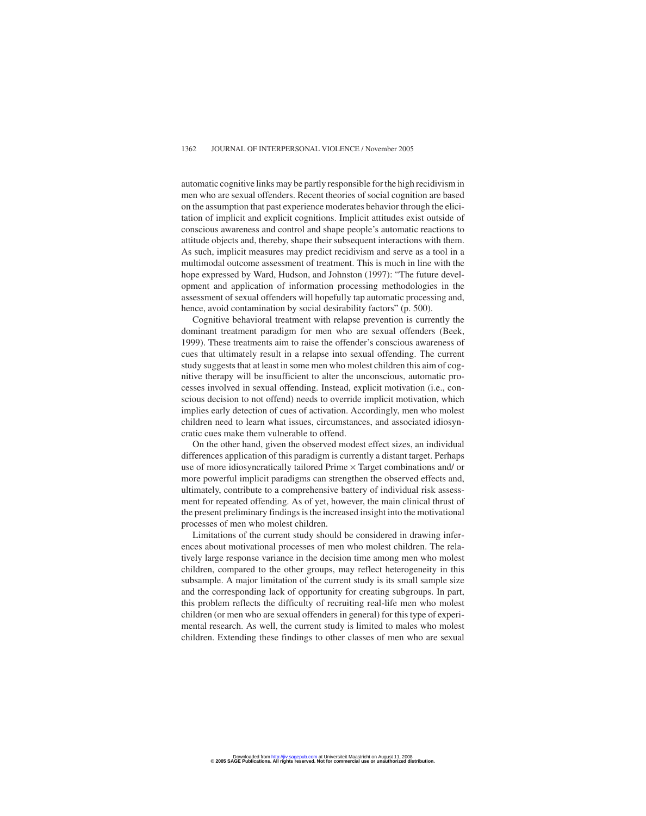automatic cognitive links may be partly responsible for the high recidivism in men who are sexual offenders. Recent theories of social cognition are based on the assumption that past experience moderates behavior through the elicitation of implicit and explicit cognitions. Implicit attitudes exist outside of conscious awareness and control and shape people's automatic reactions to attitude objects and, thereby, shape their subsequent interactions with them. As such, implicit measures may predict recidivism and serve as a tool in a multimodal outcome assessment of treatment. This is much in line with the hope expressed by Ward, Hudson, and Johnston (1997): "The future development and application of information processing methodologies in the assessment of sexual offenders will hopefully tap automatic processing and, hence, avoid contamination by social desirability factors" (p. 500).

Cognitive behavioral treatment with relapse prevention is currently the dominant treatment paradigm for men who are sexual offenders (Beek, 1999). These treatments aim to raise the offender's conscious awareness of cues that ultimately result in a relapse into sexual offending. The current study suggests that at least in some men who molest children this aim of cognitive therapy will be insufficient to alter the unconscious, automatic processes involved in sexual offending. Instead, explicit motivation (i.e., conscious decision to not offend) needs to override implicit motivation, which implies early detection of cues of activation. Accordingly, men who molest children need to learn what issues, circumstances, and associated idiosyncratic cues make them vulnerable to offend.

On the other hand, given the observed modest effect sizes, an individual differences application of this paradigm is currently a distant target. Perhaps use of more idiosyncratically tailored Prime  $\times$  Target combinations and/ or more powerful implicit paradigms can strengthen the observed effects and, ultimately, contribute to a comprehensive battery of individual risk assessment for repeated offending. As of yet, however, the main clinical thrust of the present preliminary findings is the increased insight into the motivational processes of men who molest children.

Limitations of the current study should be considered in drawing inferences about motivational processes of men who molest children. The relatively large response variance in the decision time among men who molest children, compared to the other groups, may reflect heterogeneity in this subsample. A major limitation of the current study is its small sample size and the corresponding lack of opportunity for creating subgroups. In part, this problem reflects the difficulty of recruiting real-life men who molest children (or men who are sexual offenders in general) for this type of experimental research. As well, the current study is limited to males who molest children. Extending these findings to other classes of men who are sexual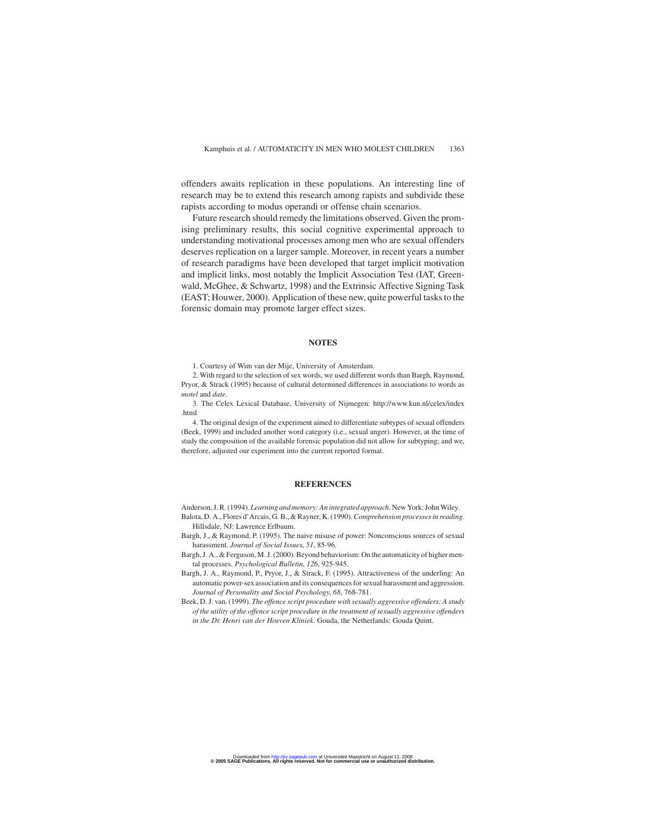offenders awaits replication in these populations. An interesting line of research may be to extend this research among rapists and subdivide these rapists according to modus operandi or offense chain scenarios.

Future research should remedy the limitations observed. Given the promising preliminary results, this social cognitive experimental approach to understanding motivational processes among men who are sexual offenders deserves replication on a larger sample. Moreover, in recent years a number of research paradigms have been developed that target implicit motivation and implicit links, most notably the Implicit Association Test (IAT, Greenwald, McGhee, & Schwartz, 1998) and the Extrinsic Affective Signing Task (EAST; Houwer, 2000). Application of these new, quite powerful tasks to the forensic domain may promote larger effect sizes.

#### **NOTES**

1. Courtesy of Wim van der Mije, University of Amsterdam.

2. With regard to the selection of sex words, we used different words than Bargh, Raymond, Pryor, & Strack (1995) because of cultural determined differences in associations to words as *motel* and *date*.

3. The Celex Lexical Database, University of Nijmegen: http://www.kun.nl/celex/index .html

4. The original design of the experiment aimed to differentiate subtypes of sexual offenders (Beek, 1999) and included another word category (i.e., sexual anger). However, at the time of study the composition of the available forensic population did not allow for subtyping; and we, therefore, adjusted our experiment into the current reported format.

#### **REFERENCES**

Anderson, J. R. (1994).*Learning and memory: An integrated approach*. New York: John Wiley. Balota, D. A., Flores d'Arcais, G. B., & Rayner, K. (1990).*Comprehension processes in reading*.

- Hillsdale, NJ: Lawrence Erlbaum.
- Bargh, J., & Raymond, P. (1995). The naive misuse of power: Nonconscious sources of sexual harassment. *Journal of Social Issues*, *51*, 85-96.
- Bargh, J. A., & Ferguson, M. J. (2000). Beyond behaviorism: On the automaticity of higher mental processes. *Psychological Bulletin*, *126*, 925-945.
- Bargh, J. A., Raymond, P., Pryor, J., & Strack, F. (1995). Attractiveness of the underling: An automatic power-sex association and its consequences for sexual harassment and aggression. *Journal of Personality and Social Psychology*, *68*, 768-781.
- Beek, D. J. van. (1999). *The offence script procedure with sexually aggressive offenders: A study of the utility of the offence script procedure in the treatment of sexually aggressive offenders in the Dr. Henri van der Hoeven Kliniek*. Gouda, the Netherlands: Gouda Quint.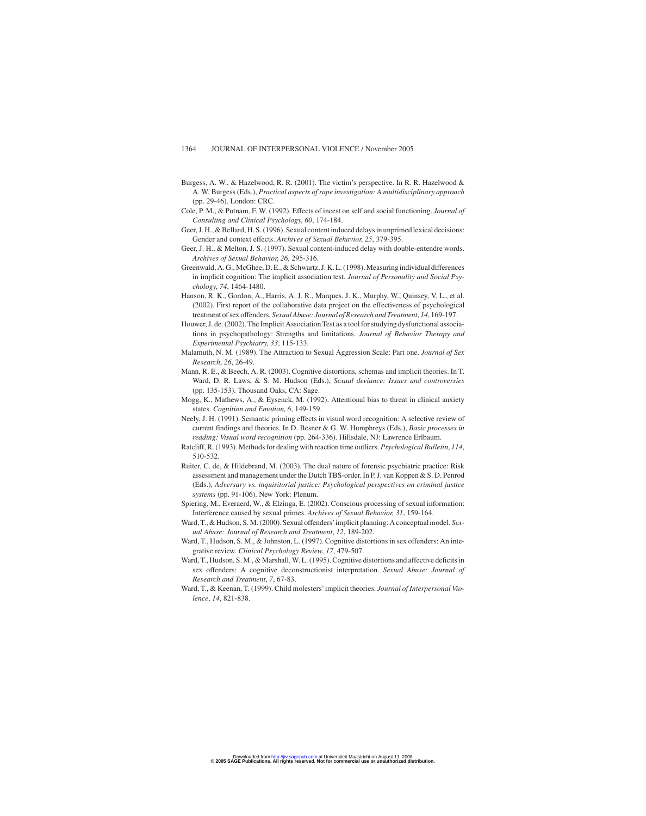- Burgess, A. W., & Hazelwood, R. R. (2001). The victim's perspective. In R. R. Hazelwood & A. W. Burgess (Eds.), *Practical aspects of rape investigation: A multidisciplinary approach* (pp. 29-46). London: CRC.
- Cole, P. M., & Putnam, F. W. (1992). Effects of incest on self and social functioning. *Journal of Consulting and Clinical Psychology*, *60*, 174-184.
- Geer, J. H., & Bellard, H. S. (1996). Sexual content induced delays in unprimed lexical decisions: Gender and context effects. *Archives of Sexual Behavior*, *25*, 379-395.
- Geer, J. H., & Melton, J. S. (1997). Sexual content-induced delay with double-entendre words. *Archives of Sexual Behavior*, *26*, 295-316.
- Greenwald, A. G., McGhee, D. E., & Schwartz, J. K. L. (1998). Measuring individual differences in implicit cognition: The implicit association test. *Journal of Personality and Social Psychology*, *74*, 1464-1480.
- Hanson, R. K., Gordon, A., Harris, A. J. R., Marques, J. K., Murphy, W., Quinsey, V. L., et al. (2002). First report of the collaborative data project on the effectiveness of psychological treatment of sex offenders. *Sexual Abuse: Journal of Research and Treatment*, *14*, 169-197.
- Houwer, J. de. (2002). The Implicit Association Test as a tool for studying dysfunctional associations in psychopathology: Strengths and limitations. *Journal of Behavior Therapy and Experimental Psychiatry*, *33*, 115-133.
- Malamuth, N. M. (1989). The Attraction to Sexual Aggression Scale: Part one. *Journal of Sex Research*, *26*, 26-49.
- Mann, R. E., & Beech, A. R. (2003). Cognitive distortions, schemas and implicit theories. In T. Ward, D. R. Laws, & S. M. Hudson (Eds.), *Sexual deviance: Issues and controversies* (pp. 135-153). Thousand Oaks, CA: Sage.
- Mogg, K., Mathews, A., & Eysenck, M. (1992). Attentional bias to threat in clinical anxiety states. *Cognition and Emotion*, *6*, 149-159.
- Neely, J. H. (1991). Semantic priming effects in visual word recognition: A selective review of current findings and theories. In D. Besner & G. W. Humphreys (Eds.), *Basic processes in reading: Visual word recognition* (pp. 264-336). Hillsdale, NJ: Lawrence Erlbaum.
- Ratcliff, R. (1993). Methods for dealing with reaction time outliers. *Psychological Bulletin*, *114*, 510-532.
- Ruiter, C. de, & Hildebrand, M. (2003). The dual nature of forensic psychiatric practice: Risk assessment and management under the Dutch TBS-order. In P. J. van Koppen & S. D. Penrod (Eds.), *Adversary vs. inquisitorial justice: Psychological perspectives on criminal justice systems* (pp. 91-106). New York: Plenum.
- Spiering, M., Everaerd, W., & Elzinga, E. (2002). Conscious processing of sexual information: Interference caused by sexual primes. *Archives of Sexual Behavior*, *31*, 159-164.
- Ward, T., & Hudson, S. M. (2000). Sexual offenders'implicit planning: A conceptual model. *Sexual Abuse: Journal of Research and Treatment*, *12*, 189-202.
- Ward, T., Hudson, S. M., & Johnston, L. (1997). Cognitive distortions in sex offenders: An integrative review. *Clinical Psychology Review*, *17*, 479-507.
- Ward, T., Hudson, S. M., & Marshall, W. L. (1995). Cognitive distortions and affective deficits in sex offenders: A cognitive deconstructionist interpretation. *Sexual Abuse: Journal of Research and Treatment*, *7*, 67-83.
- Ward, T., & Keenan, T. (1999). Child molesters' implicit theories. *Journal of Interpersonal Violence*, *14*, 821-838.